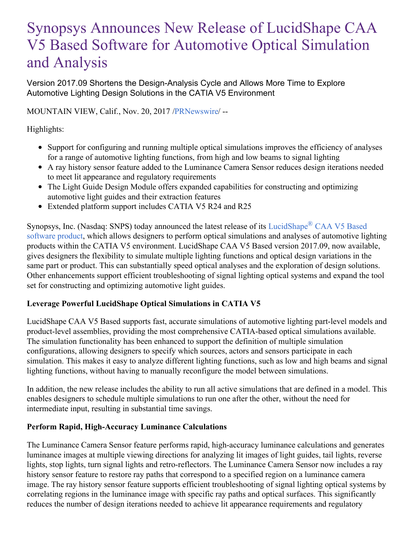# Synopsys Announces New Release of LucidShape CAA V5 Based Software for Automotive Optical Simulation and Analysis

Version 2017.09 Shortens the Design-Analysis Cycle and Allows More Time to Explore Automotive Lighting Design Solutions in the CATIA V5 Environment

MOUNTAIN VIEW, Calif., Nov. 20, 2017 [/PRNewswire](http://www.prnewswire.com/)/ --

Highlights:

- Support for configuring and running multiple optical simulations improves the efficiency of analyses for a range of automotive lighting functions, from high and low beams to signal lighting
- A ray history sensor feature added to the Luminance Camera Sensor reduces design iterations needed to meet lit appearance and regulatory requirements
- The Light Guide Design Module offers expanded capabilities for constructing and optimizing automotive light guides and their extraction features
- Extended platform support includes CATIA V5 R24 and R25

Synopsys, Inc. (Nasdaq: SNPS) today announced the latest release of its [LucidShape](https://www.synopsys.com/optical-solutions/lucidshape/caa-v5-based.html)® CAA V5 Based software product, which allows designers to perform optical simulations and analyses of automotive lighting products within the CATIA V5 environment. LucidShape CAA V5 Based version 2017.09, now available, gives designers the flexibility to simulate multiple lighting functions and optical design variations in the same part or product. This can substantially speed optical analyses and the exploration of design solutions. Other enhancements support efficient troubleshooting of signal lighting optical systems and expand the tool set for constructing and optimizing automotive light guides.

#### **Leverage Powerful LucidShape Optical Simulations in CATIA V5**

LucidShape CAA V5 Based supports fast, accurate simulations of automotive lighting part-level models and product-level assemblies, providing the most comprehensive CATIA-based optical simulations available. The simulation functionality has been enhanced to support the definition of multiple simulation configurations, allowing designers to specify which sources, actors and sensors participate in each simulation. This makes it easy to analyze different lighting functions, such as low and high beams and signal lighting functions, without having to manually reconfigure the model between simulations.

In addition, the new release includes the ability to run all active simulations that are defined in a model. This enables designers to schedule multiple simulations to run one after the other, without the need for intermediate input, resulting in substantial time savings.

#### **Perform Rapid, High-Accuracy Luminance Calculations**

The Luminance Camera Sensor feature performs rapid, high-accuracy luminance calculations and generates luminance images at multiple viewing directions for analyzing lit images of light guides, tail lights, reverse lights, stop lights, turn signal lights and retro-reflectors. The Luminance Camera Sensor now includes a ray history sensor feature to restore ray paths that correspond to a specified region on a luminance camera image. The ray history sensor feature supports efficient troubleshooting of signal lighting optical systems by correlating regions in the luminance image with specific ray paths and optical surfaces. This significantly reduces the number of design iterations needed to achieve lit appearance requirements and regulatory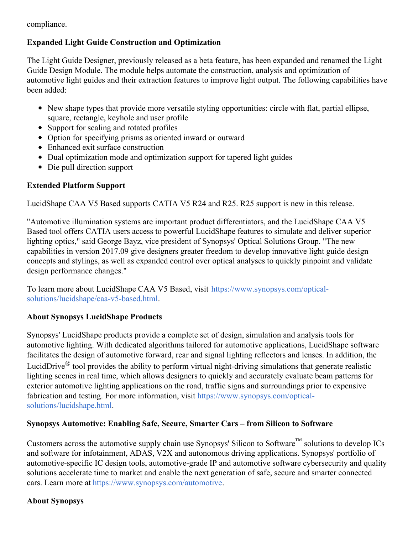compliance.

## **Expanded Light Guide Construction and Optimization**

The Light Guide Designer, previously released as a beta feature, has been expanded and renamed the Light Guide Design Module. The module helps automate the construction, analysis and optimization of automotive light guides and their extraction features to improve light output. The following capabilities have been added:

- New shape types that provide more versatile styling opportunities: circle with flat, partial ellipse, square, rectangle, keyhole and user profile
- Support for scaling and rotated profiles
- Option for specifying prisms as oriented inward or outward
- Enhanced exit surface construction
- Dual optimization mode and optimization support for tapered light guides
- Die pull direction support

# **Extended Platform Support**

LucidShape CAA V5 Based supports CATIA V5 R24 and R25. R25 support is new in this release.

"Automotive illumination systems are important product differentiators, and the LucidShape CAA V5 Based tool offers CATIA users access to powerful LucidShape features to simulate and deliver superior lighting optics," said George Bayz, vice president of Synopsys' Optical Solutions Group. "The new capabilities in version 2017.09 give designers greater freedom to develop innovative light guide design concepts and stylings, as well as expanded control over optical analyses to quickly pinpoint and validate design performance changes."

To learn more about LucidShape CAA V5 Based, visit https://www.synopsys.com/optical[solutions/lucidshape/caa-v5-based.html.](https://www.synopsys.com/optical-solutions/lucidshape/caa-v5-based.html)

## **About Synopsys LucidShape Products**

Synopsys' LucidShape products provide a complete set of design, simulation and analysis tools for automotive lighting. With dedicated algorithms tailored for automotive applications, LucidShape software facilitates the design of automotive forward, rear and signal lighting reflectors and lenses. In addition, the LucidDrive<sup>®</sup> tool provides the ability to perform virtual night-driving simulations that generate realistic lighting scenes in real time, which allows designers to quickly and accurately evaluate beam patterns for exterior automotive lighting applications on the road, traffic signs and surroundings prior to expensive fabrication and testing. For more information, visit [https://www.synopsys.com/optical](https://www.synopsys.com/optical-solutions/lucidshape.html)solutions/lucidshape.html.

## **Synopsys Automotive: Enabling Safe, Secure, Smarter Cars – from Silicon to Software**

Customers across the automotive supply chain use Synopsys' Silicon to Software<sup>™</sup> solutions to develop ICs and software for infotainment, ADAS, V2X and autonomous driving applications. Synopsys' portfolio of automotive-specific IC design tools, automotive-grade IP and automotive software cybersecurity and quality solutions accelerate time to market and enable the next generation of safe, secure and smarter connected cars. Learn more at <https://www.synopsys.com/automotive>.